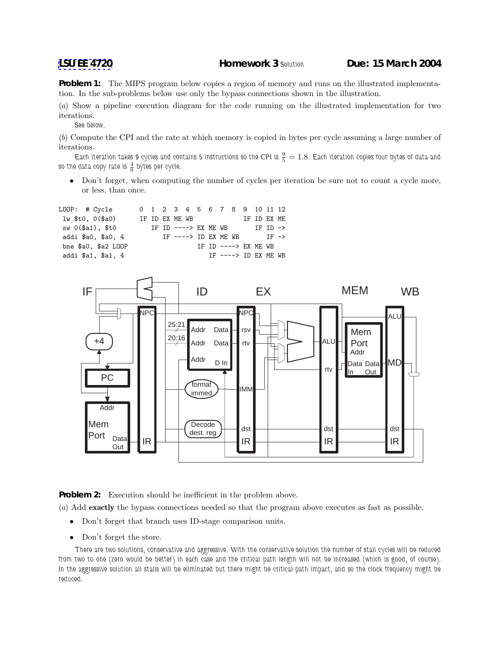**Problem 1:** The MIPS program below copies a region of memory and runs on the illustrated implementation. In the sub-problems below use only the bypass connections shown in the illustration.

(a) Show a pipeline execution diagram for the code running on the illustrated implementation for two iterations.

*See below.*

(b) Compute the CPI and the rate at which memory is copied in bytes per cycle assuming a large number of iterations.

Each iteration takes 9 cycles and contains 5 instructions so the CPI is  $\frac{9}{5} = 1.8$ . Each iteration copies four bytes of data and so the data copy rate is  $\frac{4}{9}$  bytes per cycle.

• Don't forget, when computing the number of cycles per iteration be sure not to count a cycle more, or less, than once.





**Problem 2:** Execution should be inefficient in the problem above.

(a) Add **exactly** the bypass connections needed so that the program above executes as fast as possible.

- Don't forget that branch uses ID-stage comparison units.
- Don't forget the store.

*There are two solutions, conservative and aggressive. With the conservative solution the number of stall cycles will be reduced from two to one (zero would be better) in each case and the critical path length will not be increased (which is good, of course). In the aggressive solution all stalls will be eliminated but there might be critical-path impact, and so the clock frequency might be reduced.*